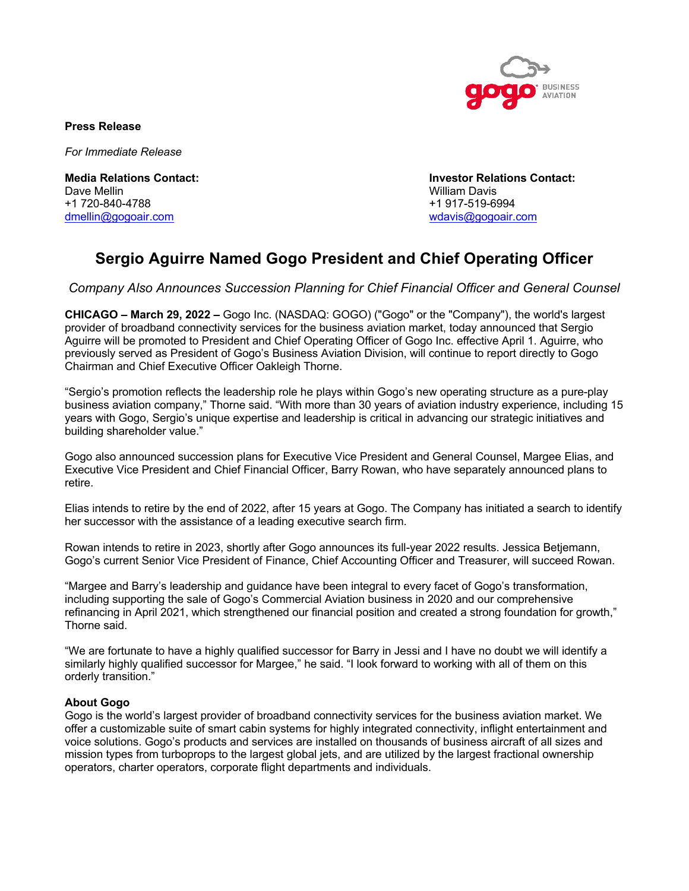

**Press Release**

*For Immediate Release*

**Media Relations Contact: Investor Relations Contact:** Dave Mellin William Davis +1 720-840-4788 dmellin@gogoair.com wdavis@gogoair.com

## **Sergio Aguirre Named Gogo President and Chief Operating Officer**

*Company Also Announces Succession Planning for Chief Financial Officer and General Counsel*

**CHICAGO – March 29, 2022 –** Gogo Inc. (NASDAQ: GOGO) ("Gogo" or the "Company"), the world's largest provider of broadband connectivity services for the business aviation market, today announced that Sergio Aguirre will be promoted to President and Chief Operating Officer of Gogo Inc. effective April 1. Aguirre, who previously served as President of Gogo's Business Aviation Division, will continue to report directly to Gogo Chairman and Chief Executive Officer Oakleigh Thorne.

"Sergio's promotion reflects the leadership role he plays within Gogo's new operating structure as a pure-play business aviation company," Thorne said. "With more than 30 years of aviation industry experience, including 15 years with Gogo, Sergio's unique expertise and leadership is critical in advancing our strategic initiatives and building shareholder value."

Gogo also announced succession plans for Executive Vice President and General Counsel, Margee Elias, and Executive Vice President and Chief Financial Officer, Barry Rowan, who have separately announced plans to retire.

Elias intends to retire by the end of 2022, after 15 years at Gogo. The Company has initiated a search to identify her successor with the assistance of a leading executive search firm.

Rowan intends to retire in 2023, shortly after Gogo announces its full-year 2022 results. Jessica Betjemann, Gogo's current Senior Vice President of Finance, Chief Accounting Officer and Treasurer, will succeed Rowan.

"Margee and Barry's leadership and guidance have been integral to every facet of Gogo's transformation, including supporting the sale of Gogo's Commercial Aviation business in 2020 and our comprehensive refinancing in April 2021, which strengthened our financial position and created a strong foundation for growth," Thorne said.

"We are fortunate to have a highly qualified successor for Barry in Jessi and I have no doubt we will identify a similarly highly qualified successor for Margee," he said. "I look forward to working with all of them on this orderly transition."

## **About Gogo**

Gogo is the world's largest provider of broadband connectivity services for the business aviation market. We offer a customizable suite of smart cabin systems for highly integrated connectivity, inflight entertainment and voice solutions. Gogo's products and services are installed on thousands of business aircraft of all sizes and mission types from turboprops to the largest global jets, and are utilized by the largest fractional ownership operators, charter operators, corporate flight departments and individuals.